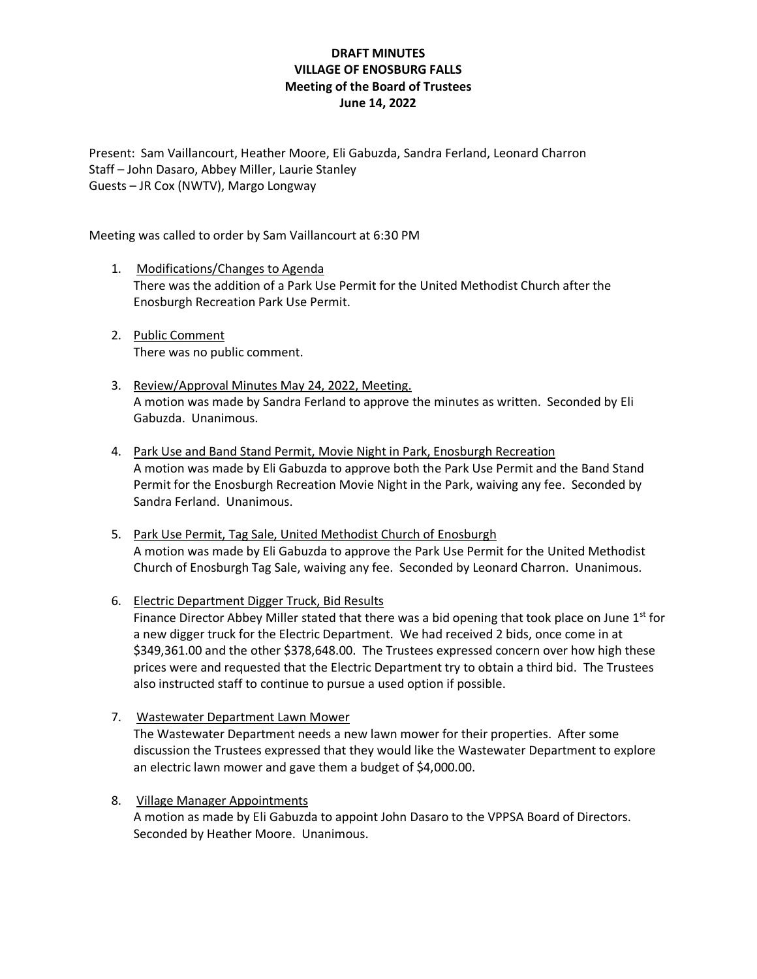# **DRAFT MINUTES VILLAGE OF ENOSBURG FALLS Meeting of the Board of Trustees June 14, 2022**

Present: Sam Vaillancourt, Heather Moore, Eli Gabuzda, Sandra Ferland, Leonard Charron Staff – John Dasaro, Abbey Miller, Laurie Stanley Guests – JR Cox (NWTV), Margo Longway

Meeting was called to order by Sam Vaillancourt at 6:30 PM

- 1. Modifications/Changes to Agenda There was the addition of a Park Use Permit for the United Methodist Church after the Enosburgh Recreation Park Use Permit.
- 2. Public Comment There was no public comment.
- 3. Review/Approval Minutes May 24, 2022, Meeting. A motion was made by Sandra Ferland to approve the minutes as written. Seconded by Eli Gabuzda. Unanimous.
- 4. Park Use and Band Stand Permit, Movie Night in Park, Enosburgh Recreation A motion was made by Eli Gabuzda to approve both the Park Use Permit and the Band Stand Permit for the Enosburgh Recreation Movie Night in the Park, waiving any fee. Seconded by Sandra Ferland. Unanimous.
- 5. Park Use Permit, Tag Sale, United Methodist Church of Enosburgh A motion was made by Eli Gabuzda to approve the Park Use Permit for the United Methodist Church of Enosburgh Tag Sale, waiving any fee. Seconded by Leonard Charron. Unanimous.
- 6. Electric Department Digger Truck, Bid Results Finance Director Abbey Miller stated that there was a bid opening that took place on June  $1<sup>st</sup>$  for a new digger truck for the Electric Department. We had received 2 bids, once come in at \$349,361.00 and the other \$378,648.00. The Trustees expressed concern over how high these prices were and requested that the Electric Department try to obtain a third bid. The Trustees also instructed staff to continue to pursue a used option if possible.
- 7. Wastewater Department Lawn Mower The Wastewater Department needs a new lawn mower for their properties. After some discussion the Trustees expressed that they would like the Wastewater Department to explore an electric lawn mower and gave them a budget of \$4,000.00.
- 8. Village Manager Appointments A motion as made by Eli Gabuzda to appoint John Dasaro to the VPPSA Board of Directors. Seconded by Heather Moore. Unanimous.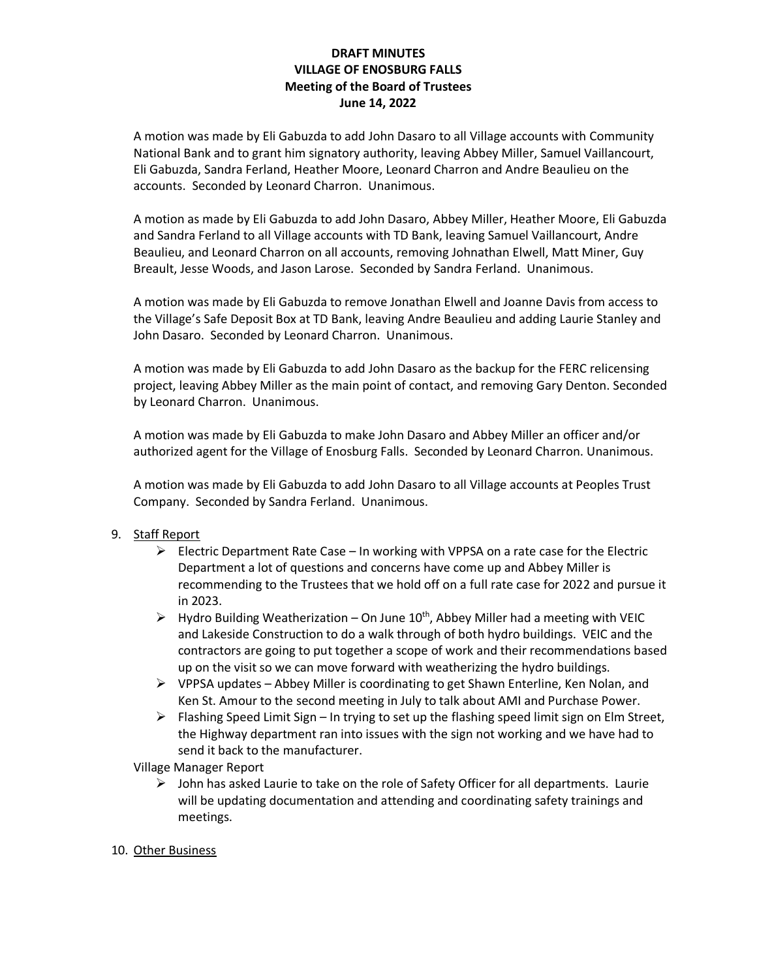# **DRAFT MINUTES VILLAGE OF ENOSBURG FALLS Meeting of the Board of Trustees June 14, 2022**

A motion was made by Eli Gabuzda to add John Dasaro to all Village accounts with Community National Bank and to grant him signatory authority, leaving Abbey Miller, Samuel Vaillancourt, Eli Gabuzda, Sandra Ferland, Heather Moore, Leonard Charron and Andre Beaulieu on the accounts. Seconded by Leonard Charron. Unanimous.

A motion as made by Eli Gabuzda to add John Dasaro, Abbey Miller, Heather Moore, Eli Gabuzda and Sandra Ferland to all Village accounts with TD Bank, leaving Samuel Vaillancourt, Andre Beaulieu, and Leonard Charron on all accounts, removing Johnathan Elwell, Matt Miner, Guy Breault, Jesse Woods, and Jason Larose. Seconded by Sandra Ferland. Unanimous.

A motion was made by Eli Gabuzda to remove Jonathan Elwell and Joanne Davis from access to the Village's Safe Deposit Box at TD Bank, leaving Andre Beaulieu and adding Laurie Stanley and John Dasaro. Seconded by Leonard Charron. Unanimous.

A motion was made by Eli Gabuzda to add John Dasaro as the backup for the FERC relicensing project, leaving Abbey Miller as the main point of contact, and removing Gary Denton. Seconded by Leonard Charron. Unanimous.

A motion was made by Eli Gabuzda to make John Dasaro and Abbey Miller an officer and/or authorized agent for the Village of Enosburg Falls. Seconded by Leonard Charron. Unanimous.

A motion was made by Eli Gabuzda to add John Dasaro to all Village accounts at Peoples Trust Company. Seconded by Sandra Ferland. Unanimous.

#### 9. Staff Report

- $\triangleright$  Electric Department Rate Case In working with VPPSA on a rate case for the Electric Department a lot of questions and concerns have come up and Abbey Miller is recommending to the Trustees that we hold off on a full rate case for 2022 and pursue it in 2023.
- $\triangleright$  Hydro Building Weatherization On June 10<sup>th</sup>, Abbey Miller had a meeting with VEIC and Lakeside Construction to do a walk through of both hydro buildings. VEIC and the contractors are going to put together a scope of work and their recommendations based up on the visit so we can move forward with weatherizing the hydro buildings.
- $\triangleright$  VPPSA updates Abbey Miller is coordinating to get Shawn Enterline, Ken Nolan, and Ken St. Amour to the second meeting in July to talk about AMI and Purchase Power.
- $\triangleright$  Flashing Speed Limit Sign In trying to set up the flashing speed limit sign on Elm Street, the Highway department ran into issues with the sign not working and we have had to send it back to the manufacturer.

Village Manager Report

 $\triangleright$  John has asked Laurie to take on the role of Safety Officer for all departments. Laurie will be updating documentation and attending and coordinating safety trainings and meetings.

#### 10. Other Business